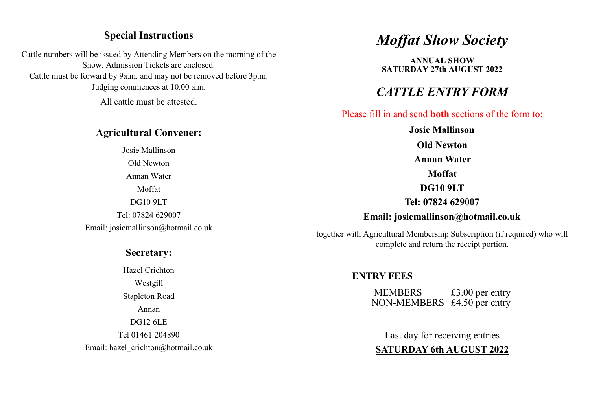### **Special Instructions**

Cattle numbers will be issued by Attending Members on the morning of the Show. Admission Tickets are enclosed. Cattle must be forward by 9a.m. and may not be removed before 3p.m. Judging commences at 10.00 a.m.

All cattle must be attested.

#### **Agricultural Convener:**

Josie Mallinson Old Newton Annan Water Moffat DG10 9LT Tel: 07824 629007 Email: josiemallinson@hotmail.co.uk

### **Secretary:**

Hazel Crichton Westgill Stapleton Road Annan DG12 6LE Tel 01461 204890 Email: hazel\_crichton@hotmail.co.uk

# *Moffat Show Society*

**ANNUAL SHOW SATURDAY 27th AUGUST 2022**

## *CATTLE ENTRY FORM*

Please fill in and send **both** sections of the form to:

**Josie Mallinson Old Newton Annan Water Moffat DG10 9LT Tel: 07824 629007 Email: josiemallinson@hotmail.co.uk**

together with Agricultural Membership Subscription (if required) who will complete and return the receipt portion.

### **ENTRY FEES**

MEMBERS £3.00 per entry NON-MEMBERS £4.50 per entry

Last day for receiving entries **SATURDAY 6th AUGUST 2022**